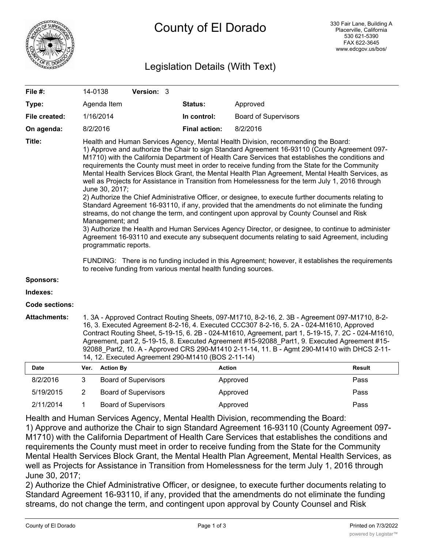

# Legislation Details (With Text)

| File #:               | 14-0138                                                                                                                                                                                                                                                                                                                                                                                                                                                                                                                                                                                                                                                                                                                                                                                                                                                                                                                                                                                                                                                                                                                                                                                                                                                                                                                                              |                  | Version: 3                  |  |                      |                             |               |
|-----------------------|------------------------------------------------------------------------------------------------------------------------------------------------------------------------------------------------------------------------------------------------------------------------------------------------------------------------------------------------------------------------------------------------------------------------------------------------------------------------------------------------------------------------------------------------------------------------------------------------------------------------------------------------------------------------------------------------------------------------------------------------------------------------------------------------------------------------------------------------------------------------------------------------------------------------------------------------------------------------------------------------------------------------------------------------------------------------------------------------------------------------------------------------------------------------------------------------------------------------------------------------------------------------------------------------------------------------------------------------------|------------------|-----------------------------|--|----------------------|-----------------------------|---------------|
| Type:                 |                                                                                                                                                                                                                                                                                                                                                                                                                                                                                                                                                                                                                                                                                                                                                                                                                                                                                                                                                                                                                                                                                                                                                                                                                                                                                                                                                      | Agenda Item      |                             |  | Status:              | Approved                    |               |
| File created:         |                                                                                                                                                                                                                                                                                                                                                                                                                                                                                                                                                                                                                                                                                                                                                                                                                                                                                                                                                                                                                                                                                                                                                                                                                                                                                                                                                      | 1/16/2014        |                             |  | In control:          | <b>Board of Supervisors</b> |               |
| On agenda:            | 8/2/2016                                                                                                                                                                                                                                                                                                                                                                                                                                                                                                                                                                                                                                                                                                                                                                                                                                                                                                                                                                                                                                                                                                                                                                                                                                                                                                                                             |                  |                             |  | <b>Final action:</b> | 8/2/2016                    |               |
| Title:                | Health and Human Services Agency, Mental Health Division, recommending the Board:<br>1) Approve and authorize the Chair to sign Standard Agreement 16-93110 (County Agreement 097-<br>M1710) with the California Department of Health Care Services that establishes the conditions and<br>requirements the County must meet in order to receive funding from the State for the Community<br>Mental Health Services Block Grant, the Mental Health Plan Agreement, Mental Health Services, as<br>well as Projects for Assistance in Transition from Homelessness for the term July 1, 2016 through<br>June 30, 2017;<br>2) Authorize the Chief Administrative Officer, or designee, to execute further documents relating to<br>Standard Agreement 16-93110, if any, provided that the amendments do not eliminate the funding<br>streams, do not change the term, and contingent upon approval by County Counsel and Risk<br>Management; and<br>3) Authorize the Health and Human Services Agency Director, or designee, to continue to administer<br>Agreement 16-93110 and execute any subsequent documents relating to said Agreement, including<br>programmatic reports.<br>FUNDING: There is no funding included in this Agreement; however, it establishes the requirements<br>to receive funding from various mental health funding sources. |                  |                             |  |                      |                             |               |
| Sponsors:             |                                                                                                                                                                                                                                                                                                                                                                                                                                                                                                                                                                                                                                                                                                                                                                                                                                                                                                                                                                                                                                                                                                                                                                                                                                                                                                                                                      |                  |                             |  |                      |                             |               |
| Indexes:              |                                                                                                                                                                                                                                                                                                                                                                                                                                                                                                                                                                                                                                                                                                                                                                                                                                                                                                                                                                                                                                                                                                                                                                                                                                                                                                                                                      |                  |                             |  |                      |                             |               |
| <b>Code sections:</b> |                                                                                                                                                                                                                                                                                                                                                                                                                                                                                                                                                                                                                                                                                                                                                                                                                                                                                                                                                                                                                                                                                                                                                                                                                                                                                                                                                      |                  |                             |  |                      |                             |               |
| <b>Attachments:</b>   | 1. 3A - Approved Contract Routing Sheets, 097-M1710, 8-2-16, 2. 3B - Agreement 097-M1710, 8-2-<br>16, 3. Executed Agreement 8-2-16, 4. Executed CCC307 8-2-16, 5. 2A - 024-M1610, Approved<br>Contract Routing Sheet, 5-19-15, 6. 2B - 024-M1610, Agreement, part 1, 5-19-15, 7. 2C - 024-M1610,<br>Agreement, part 2, 5-19-15, 8. Executed Agreement #15-92088_Part1, 9. Executed Agreement #15-<br>92088 Part2, 10. A - Approved CRS 290-M1410 2-11-14, 11. B - Agmt 290-M1410 with DHCS 2-11-<br>14, 12. Executed Agreement 290-M1410 (BOS 2-11-14)                                                                                                                                                                                                                                                                                                                                                                                                                                                                                                                                                                                                                                                                                                                                                                                               |                  |                             |  |                      |                             |               |
| Date                  | Ver.                                                                                                                                                                                                                                                                                                                                                                                                                                                                                                                                                                                                                                                                                                                                                                                                                                                                                                                                                                                                                                                                                                                                                                                                                                                                                                                                                 | <b>Action By</b> |                             |  | <b>Action</b>        |                             | <b>Result</b> |
| 8/2/2016              | 3                                                                                                                                                                                                                                                                                                                                                                                                                                                                                                                                                                                                                                                                                                                                                                                                                                                                                                                                                                                                                                                                                                                                                                                                                                                                                                                                                    |                  | <b>Board of Supervisors</b> |  |                      | Approved                    | Pass          |
| 5/19/2015             | $\overline{2}$                                                                                                                                                                                                                                                                                                                                                                                                                                                                                                                                                                                                                                                                                                                                                                                                                                                                                                                                                                                                                                                                                                                                                                                                                                                                                                                                       |                  | <b>Board of Supervisors</b> |  |                      | Approved                    | Pass          |
| 2/11/2014             | $\mathbf{1}$                                                                                                                                                                                                                                                                                                                                                                                                                                                                                                                                                                                                                                                                                                                                                                                                                                                                                                                                                                                                                                                                                                                                                                                                                                                                                                                                         |                  | <b>Board of Supervisors</b> |  |                      | Approved                    | Pass          |

Health and Human Services Agency, Mental Health Division, recommending the Board: 1) Approve and authorize the Chair to sign Standard Agreement 16-93110 (County Agreement 097- M1710) with the California Department of Health Care Services that establishes the conditions and requirements the County must meet in order to receive funding from the State for the Community Mental Health Services Block Grant, the Mental Health Plan Agreement, Mental Health Services, as well as Projects for Assistance in Transition from Homelessness for the term July 1, 2016 through June 30, 2017;

2) Authorize the Chief Administrative Officer, or designee, to execute further documents relating to Standard Agreement 16-93110, if any, provided that the amendments do not eliminate the funding streams, do not change the term, and contingent upon approval by County Counsel and Risk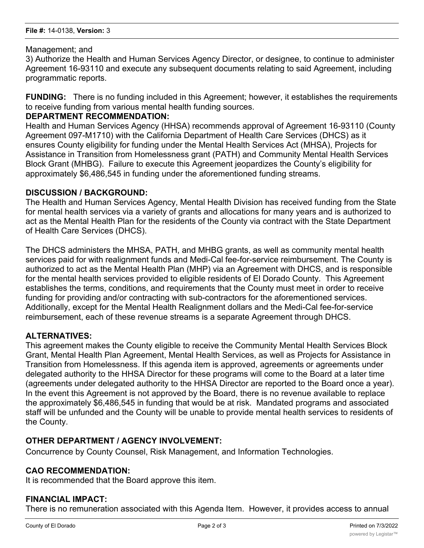#### Management; and

3) Authorize the Health and Human Services Agency Director, or designee, to continue to administer Agreement 16-93110 and execute any subsequent documents relating to said Agreement, including programmatic reports.

**FUNDING:** There is no funding included in this Agreement; however, it establishes the requirements to receive funding from various mental health funding sources.

## **DEPARTMENT RECOMMENDATION:**

Health and Human Services Agency (HHSA) recommends approval of Agreement 16-93110 (County Agreement 097-M1710) with the California Department of Health Care Services (DHCS) as it ensures County eligibility for funding under the Mental Health Services Act (MHSA), Projects for Assistance in Transition from Homelessness grant (PATH) and Community Mental Health Services Block Grant (MHBG). Failure to execute this Agreement jeopardizes the County's eligibility for approximately \$6,486,545 in funding under the aforementioned funding streams.

## **DISCUSSION / BACKGROUND:**

The Health and Human Services Agency, Mental Health Division has received funding from the State for mental health services via a variety of grants and allocations for many years and is authorized to act as the Mental Health Plan for the residents of the County via contract with the State Department of Health Care Services (DHCS).

The DHCS administers the MHSA, PATH, and MHBG grants, as well as community mental health services paid for with realignment funds and Medi-Cal fee-for-service reimbursement. The County is authorized to act as the Mental Health Plan (MHP) via an Agreement with DHCS, and is responsible for the mental health services provided to eligible residents of El Dorado County. This Agreement establishes the terms, conditions, and requirements that the County must meet in order to receive funding for providing and/or contracting with sub-contractors for the aforementioned services. Additionally, except for the Mental Health Realignment dollars and the Medi-Cal fee-for-service reimbursement, each of these revenue streams is a separate Agreement through DHCS.

## **ALTERNATIVES:**

This agreement makes the County eligible to receive the Community Mental Health Services Block Grant, Mental Health Plan Agreement, Mental Health Services, as well as Projects for Assistance in Transition from Homelessness. If this agenda item is approved, agreements or agreements under delegated authority to the HHSA Director for these programs will come to the Board at a later time (agreements under delegated authority to the HHSA Director are reported to the Board once a year). In the event this Agreement is not approved by the Board, there is no revenue available to replace the approximately \$6,486,545 in funding that would be at risk. Mandated programs and associated staff will be unfunded and the County will be unable to provide mental health services to residents of the County.

## **OTHER DEPARTMENT / AGENCY INVOLVEMENT:**

Concurrence by County Counsel, Risk Management, and Information Technologies.

## **CAO RECOMMENDATION:**

It is recommended that the Board approve this item.

#### **FINANCIAL IMPACT:**

There is no remuneration associated with this Agenda Item. However, it provides access to annual